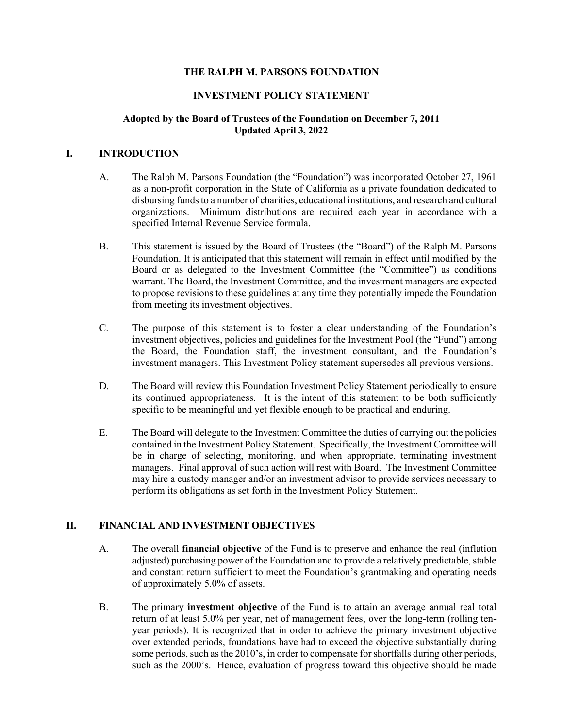## **THE RALPH M. PARSONS FOUNDATION**

## **INVESTMENT POLICY STATEMENT**

#### **Adopted by the Board of Trustees of the Foundation on December 7, 2011 Updated April 3, 2022**

#### **I. INTRODUCTION**

- A. The Ralph M. Parsons Foundation (the "Foundation") was incorporated October 27, 1961 as a non-profit corporation in the State of California as a private foundation dedicated to disbursing funds to a number of charities, educational institutions, and research and cultural organizations. Minimum distributions are required each year in accordance with a specified Internal Revenue Service formula.
- B. This statement is issued by the Board of Trustees (the "Board") of the Ralph M. Parsons Foundation. It is anticipated that this statement will remain in effect until modified by the Board or as delegated to the Investment Committee (the "Committee") as conditions warrant. The Board, the Investment Committee, and the investment managers are expected to propose revisions to these guidelines at any time they potentially impede the Foundation from meeting its investment objectives.
- C. The purpose of this statement is to foster a clear understanding of the Foundation's investment objectives, policies and guidelines for the Investment Pool (the "Fund") among the Board, the Foundation staff, the investment consultant, and the Foundation's investment managers. This Investment Policy statement supersedes all previous versions.
- D. The Board will review this Foundation Investment Policy Statement periodically to ensure its continued appropriateness. It is the intent of this statement to be both sufficiently specific to be meaningful and yet flexible enough to be practical and enduring.
- E. The Board will delegate to the Investment Committee the duties of carrying out the policies contained in the Investment Policy Statement. Specifically, the Investment Committee will be in charge of selecting, monitoring, and when appropriate, terminating investment managers. Final approval of such action will rest with Board. The Investment Committee may hire a custody manager and/or an investment advisor to provide services necessary to perform its obligations as set forth in the Investment Policy Statement.

## **II. FINANCIAL AND INVESTMENT OBJECTIVES**

- A. The overall **financial objective** of the Fund is to preserve and enhance the real (inflation adjusted) purchasing power of the Foundation and to provide a relatively predictable, stable and constant return sufficient to meet the Foundation's grantmaking and operating needs of approximately 5.0% of assets.
- B. The primary **investment objective** of the Fund is to attain an average annual real total return of at least 5.0% per year, net of management fees, over the long-term (rolling tenyear periods). It is recognized that in order to achieve the primary investment objective over extended periods, foundations have had to exceed the objective substantially during some periods, such as the 2010's, in order to compensate for shortfalls during other periods, such as the 2000's. Hence, evaluation of progress toward this objective should be made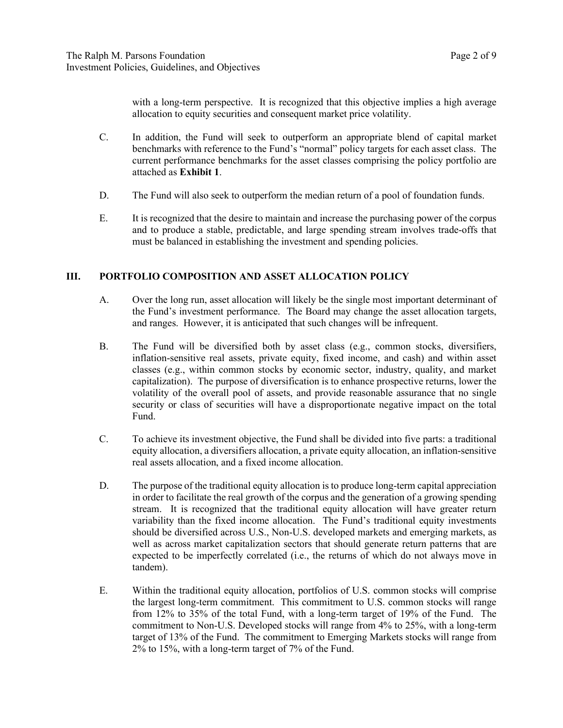with a long-term perspective. It is recognized that this objective implies a high average allocation to equity securities and consequent market price volatility.

- C. In addition, the Fund will seek to outperform an appropriate blend of capital market benchmarks with reference to the Fund's "normal" policy targets for each asset class. The current performance benchmarks for the asset classes comprising the policy portfolio are attached as **Exhibit 1**.
- D. The Fund will also seek to outperform the median return of a pool of foundation funds.
- E. It is recognized that the desire to maintain and increase the purchasing power of the corpus and to produce a stable, predictable, and large spending stream involves trade-offs that must be balanced in establishing the investment and spending policies.

#### **III. PORTFOLIO COMPOSITION AND ASSET ALLOCATION POLICY**

- A. Over the long run, asset allocation will likely be the single most important determinant of the Fund's investment performance. The Board may change the asset allocation targets, and ranges. However, it is anticipated that such changes will be infrequent.
- B. The Fund will be diversified both by asset class (e.g., common stocks, diversifiers, inflation-sensitive real assets, private equity, fixed income, and cash) and within asset classes (e.g., within common stocks by economic sector, industry, quality, and market capitalization). The purpose of diversification is to enhance prospective returns, lower the volatility of the overall pool of assets, and provide reasonable assurance that no single security or class of securities will have a disproportionate negative impact on the total Fund.
- C. To achieve its investment objective, the Fund shall be divided into five parts: a traditional equity allocation, a diversifiers allocation, a private equity allocation, an inflation-sensitive real assets allocation, and a fixed income allocation.
- D. The purpose of the traditional equity allocation is to produce long-term capital appreciation in order to facilitate the real growth of the corpus and the generation of a growing spending stream. It is recognized that the traditional equity allocation will have greater return variability than the fixed income allocation. The Fund's traditional equity investments should be diversified across U.S., Non-U.S. developed markets and emerging markets, as well as across market capitalization sectors that should generate return patterns that are expected to be imperfectly correlated (i.e., the returns of which do not always move in tandem).
- E. Within the traditional equity allocation, portfolios of U.S. common stocks will comprise the largest long-term commitment. This commitment to U.S. common stocks will range from 12% to 35% of the total Fund, with a long-term target of 19% of the Fund. The commitment to Non-U.S. Developed stocks will range from 4% to 25%, with a long-term target of 13% of the Fund. The commitment to Emerging Markets stocks will range from 2% to 15%, with a long-term target of 7% of the Fund.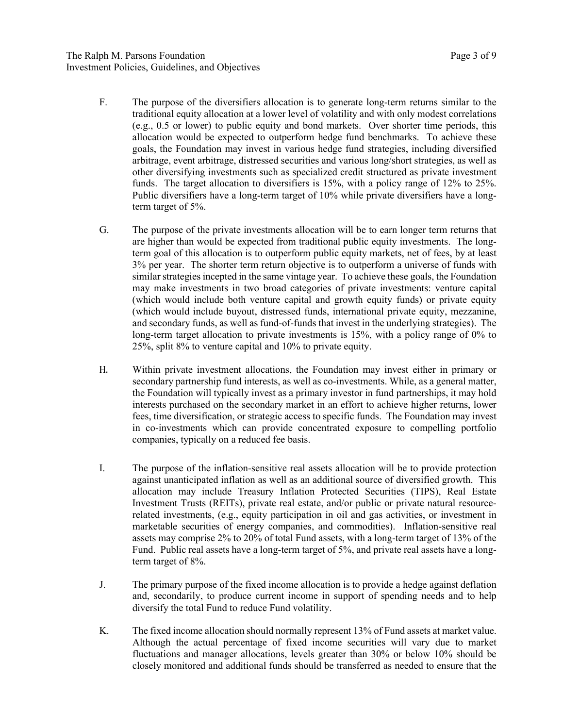- F. The purpose of the diversifiers allocation is to generate long-term returns similar to the traditional equity allocation at a lower level of volatility and with only modest correlations (e.g., 0.5 or lower) to public equity and bond markets. Over shorter time periods, this allocation would be expected to outperform hedge fund benchmarks. To achieve these goals, the Foundation may invest in various hedge fund strategies, including diversified arbitrage, event arbitrage, distressed securities and various long/short strategies, as well as other diversifying investments such as specialized credit structured as private investment funds. The target allocation to diversifiers is 15%, with a policy range of 12% to 25%. Public diversifiers have a long-term target of 10% while private diversifiers have a longterm target of 5%.
- G. The purpose of the private investments allocation will be to earn longer term returns that are higher than would be expected from traditional public equity investments. The longterm goal of this allocation is to outperform public equity markets, net of fees, by at least 3% per year. The shorter term return objective is to outperform a universe of funds with similar strategies incepted in the same vintage year. To achieve these goals, the Foundation may make investments in two broad categories of private investments: venture capital (which would include both venture capital and growth equity funds) or private equity (which would include buyout, distressed funds, international private equity, mezzanine, and secondary funds, as well as fund-of-funds that invest in the underlying strategies). The long-term target allocation to private investments is 15%, with a policy range of 0% to 25%, split 8% to venture capital and 10% to private equity.
- H. Within private investment allocations, the Foundation may invest either in primary or secondary partnership fund interests, as well as co-investments. While, as a general matter, the Foundation will typically invest as a primary investor in fund partnerships, it may hold interests purchased on the secondary market in an effort to achieve higher returns, lower fees, time diversification, or strategic access to specific funds. The Foundation may invest in co-investments which can provide concentrated exposure to compelling portfolio companies, typically on a reduced fee basis.
- I. The purpose of the inflation-sensitive real assets allocation will be to provide protection against unanticipated inflation as well as an additional source of diversified growth. This allocation may include Treasury Inflation Protected Securities (TIPS), Real Estate Investment Trusts (REITs), private real estate, and/or public or private natural resourcerelated investments, (e.g., equity participation in oil and gas activities, or investment in marketable securities of energy companies, and commodities). Inflation-sensitive real assets may comprise 2% to 20% of total Fund assets, with a long-term target of 13% of the Fund. Public real assets have a long-term target of 5%, and private real assets have a longterm target of 8%.
- J. The primary purpose of the fixed income allocation is to provide a hedge against deflation and, secondarily, to produce current income in support of spending needs and to help diversify the total Fund to reduce Fund volatility.
- K. The fixed income allocation should normally represent 13% of Fund assets at market value. Although the actual percentage of fixed income securities will vary due to market fluctuations and manager allocations, levels greater than 30% or below 10% should be closely monitored and additional funds should be transferred as needed to ensure that the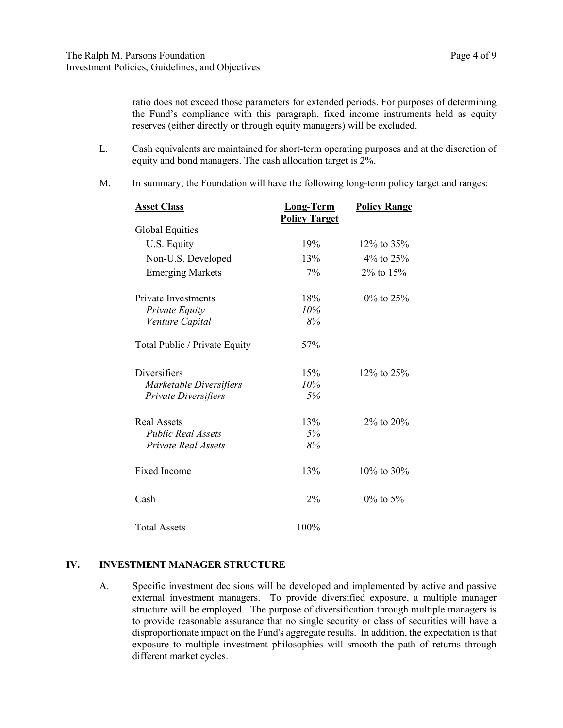ratio does not exceed those parameters for extended periods. For purposes of determining the Fund's compliance with this paragraph, fixed income instruments held as equity reserves (either directly or through equity managers) will be excluded.

- L. Cash equivalents are maintained for short-term operating purposes and at the discretion of equity and bond managers. The cash allocation target is 2%.
- M. In summary, the Foundation will have the following long-term policy target and ranges:

| <b>Asset Class</b>            | <b>Long-Term</b><br><b>Policy Target</b> | <b>Policy Range</b> |
|-------------------------------|------------------------------------------|---------------------|
| Global Equities               |                                          |                     |
| U.S. Equity                   | 19%                                      | $12\%$ to $35\%$    |
| Non-U.S. Developed            | 13%                                      | 4\% to $25\%$       |
| <b>Emerging Markets</b>       | 7%                                       | $2\%$ to $15\%$     |
| <b>Private Investments</b>    | 18%                                      | $0\%$ to 25%        |
| Private Equity                | 10%                                      |                     |
| Venture Capital               | 8%                                       |                     |
| Total Public / Private Equity | 57%                                      |                     |
| Diversifiers                  | 15%                                      | $12\%$ to $25\%$    |
| Marketable Diversifiers       | 10%                                      |                     |
| Private Diversifiers          | 5%                                       |                     |
| Real Assets                   | 13%                                      | $2\%$ to $20\%$     |
| <b>Public Real Assets</b>     | 5%                                       |                     |
| <b>Private Real Assets</b>    | 8%                                       |                     |
| <b>Fixed Income</b>           | 13%                                      | $10\%$ to $30\%$    |
| Cash                          | 2%                                       | $0\%$ to 5%         |
| <b>Total Assets</b>           | 100%                                     |                     |

#### **IV. INVESTMENT MANAGER STRUCTURE**

A. Specific investment decisions will be developed and implemented by active and passive external investment managers. To provide diversified exposure, a multiple manager structure will be employed. The purpose of diversification through multiple managers is to provide reasonable assurance that no single security or class of securities will have a disproportionate impact on the Fund's aggregate results. In addition, the expectation is that exposure to multiple investment philosophies will smooth the path of returns through different market cycles.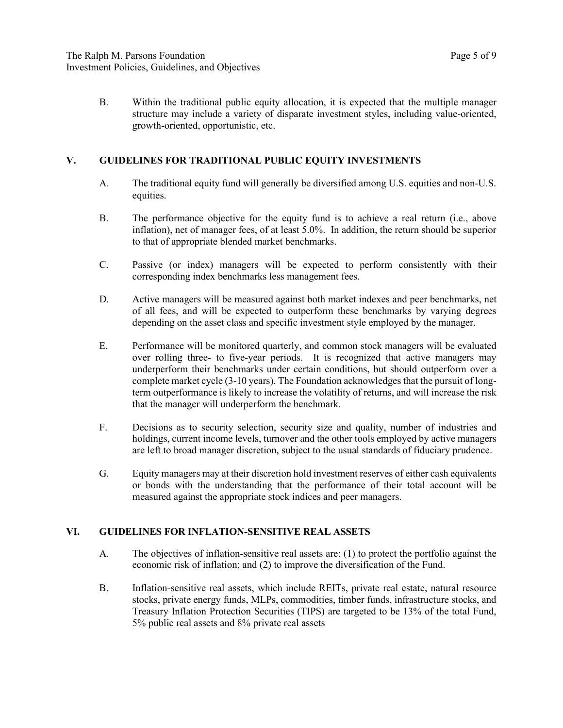B. Within the traditional public equity allocation, it is expected that the multiple manager structure may include a variety of disparate investment styles, including value-oriented, growth-oriented, opportunistic, etc.

## **V. GUIDELINES FOR TRADITIONAL PUBLIC EQUITY INVESTMENTS**

- A. The traditional equity fund will generally be diversified among U.S. equities and non-U.S. equities.
- B. The performance objective for the equity fund is to achieve a real return (i.e., above inflation), net of manager fees, of at least 5.0%. In addition, the return should be superior to that of appropriate blended market benchmarks.
- C. Passive (or index) managers will be expected to perform consistently with their corresponding index benchmarks less management fees.
- D. Active managers will be measured against both market indexes and peer benchmarks, net of all fees, and will be expected to outperform these benchmarks by varying degrees depending on the asset class and specific investment style employed by the manager.
- E. Performance will be monitored quarterly, and common stock managers will be evaluated over rolling three- to five-year periods. It is recognized that active managers may underperform their benchmarks under certain conditions, but should outperform over a complete market cycle (3-10 years). The Foundation acknowledges that the pursuit of longterm outperformance is likely to increase the volatility of returns, and will increase the risk that the manager will underperform the benchmark.
- F. Decisions as to security selection, security size and quality, number of industries and holdings, current income levels, turnover and the other tools employed by active managers are left to broad manager discretion, subject to the usual standards of fiduciary prudence.
- G. Equity managers may at their discretion hold investment reserves of either cash equivalents or bonds with the understanding that the performance of their total account will be measured against the appropriate stock indices and peer managers.

## **VI. GUIDELINES FOR INFLATION-SENSITIVE REAL ASSETS**

- A. The objectives of inflation-sensitive real assets are: (1) to protect the portfolio against the economic risk of inflation; and (2) to improve the diversification of the Fund.
- B. Inflation-sensitive real assets, which include REITs, private real estate, natural resource stocks, private energy funds, MLPs, commodities, timber funds, infrastructure stocks, and Treasury Inflation Protection Securities (TIPS) are targeted to be 13% of the total Fund, 5% public real assets and 8% private real assets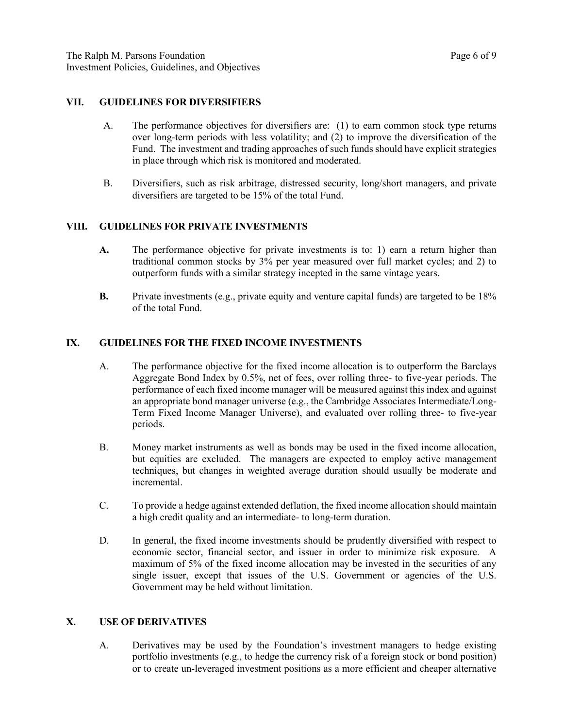#### **VII. GUIDELINES FOR DIVERSIFIERS**

- A. The performance objectives for diversifiers are: (1) to earn common stock type returns over long-term periods with less volatility; and (2) to improve the diversification of the Fund. The investment and trading approaches of such funds should have explicit strategies in place through which risk is monitored and moderated.
- B. Diversifiers, such as risk arbitrage, distressed security, long/short managers, and private diversifiers are targeted to be 15% of the total Fund.

## **VIII. GUIDELINES FOR PRIVATE INVESTMENTS**

- **A.** The performance objective for private investments is to: 1) earn a return higher than traditional common stocks by 3% per year measured over full market cycles; and 2) to outperform funds with a similar strategy incepted in the same vintage years.
- **B.** Private investments (e.g., private equity and venture capital funds) are targeted to be 18% of the total Fund.

#### **IX. GUIDELINES FOR THE FIXED INCOME INVESTMENTS**

- A. The performance objective for the fixed income allocation is to outperform the Barclays Aggregate Bond Index by 0.5%, net of fees, over rolling three- to five-year periods. The performance of each fixed income manager will be measured against this index and against an appropriate bond manager universe (e.g., the Cambridge Associates Intermediate/Long-Term Fixed Income Manager Universe), and evaluated over rolling three- to five-year periods.
- B. Money market instruments as well as bonds may be used in the fixed income allocation, but equities are excluded. The managers are expected to employ active management techniques, but changes in weighted average duration should usually be moderate and incremental.
- C. To provide a hedge against extended deflation, the fixed income allocation should maintain a high credit quality and an intermediate- to long-term duration.
- D. In general, the fixed income investments should be prudently diversified with respect to economic sector, financial sector, and issuer in order to minimize risk exposure. A maximum of 5% of the fixed income allocation may be invested in the securities of any single issuer, except that issues of the U.S. Government or agencies of the U.S. Government may be held without limitation.

## **X. USE OF DERIVATIVES**

A. Derivatives may be used by the Foundation's investment managers to hedge existing portfolio investments (e.g., to hedge the currency risk of a foreign stock or bond position) or to create un-leveraged investment positions as a more efficient and cheaper alternative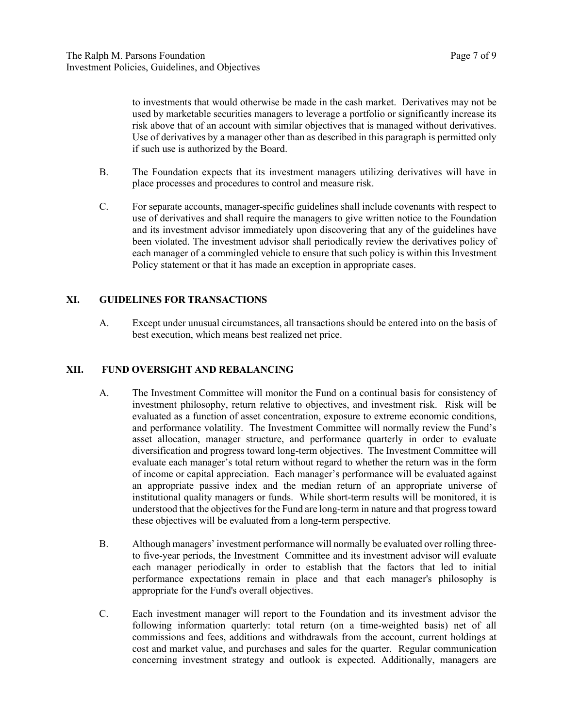to investments that would otherwise be made in the cash market. Derivatives may not be used by marketable securities managers to leverage a portfolio or significantly increase its risk above that of an account with similar objectives that is managed without derivatives. Use of derivatives by a manager other than as described in this paragraph is permitted only if such use is authorized by the Board.

- B. The Foundation expects that its investment managers utilizing derivatives will have in place processes and procedures to control and measure risk.
- C. For separate accounts, manager-specific guidelines shall include covenants with respect to use of derivatives and shall require the managers to give written notice to the Foundation and its investment advisor immediately upon discovering that any of the guidelines have been violated. The investment advisor shall periodically review the derivatives policy of each manager of a commingled vehicle to ensure that such policy is within this Investment Policy statement or that it has made an exception in appropriate cases.

## **XI. GUIDELINES FOR TRANSACTIONS**

A. Except under unusual circumstances, all transactions should be entered into on the basis of best execution, which means best realized net price.

## **XII. FUND OVERSIGHT AND REBALANCING**

- A. The Investment Committee will monitor the Fund on a continual basis for consistency of investment philosophy, return relative to objectives, and investment risk. Risk will be evaluated as a function of asset concentration, exposure to extreme economic conditions, and performance volatility. The Investment Committee will normally review the Fund's asset allocation, manager structure, and performance quarterly in order to evaluate diversification and progress toward long-term objectives. The Investment Committee will evaluate each manager's total return without regard to whether the return was in the form of income or capital appreciation. Each manager's performance will be evaluated against an appropriate passive index and the median return of an appropriate universe of institutional quality managers or funds. While short-term results will be monitored, it is understood that the objectives for the Fund are long-term in nature and that progress toward these objectives will be evaluated from a long-term perspective.
- B. Although managers' investment performance will normally be evaluated over rolling threeto five-year periods, the Investment Committee and its investment advisor will evaluate each manager periodically in order to establish that the factors that led to initial performance expectations remain in place and that each manager's philosophy is appropriate for the Fund's overall objectives.
- C. Each investment manager will report to the Foundation and its investment advisor the following information quarterly: total return (on a time-weighted basis) net of all commissions and fees, additions and withdrawals from the account, current holdings at cost and market value, and purchases and sales for the quarter. Regular communication concerning investment strategy and outlook is expected. Additionally, managers are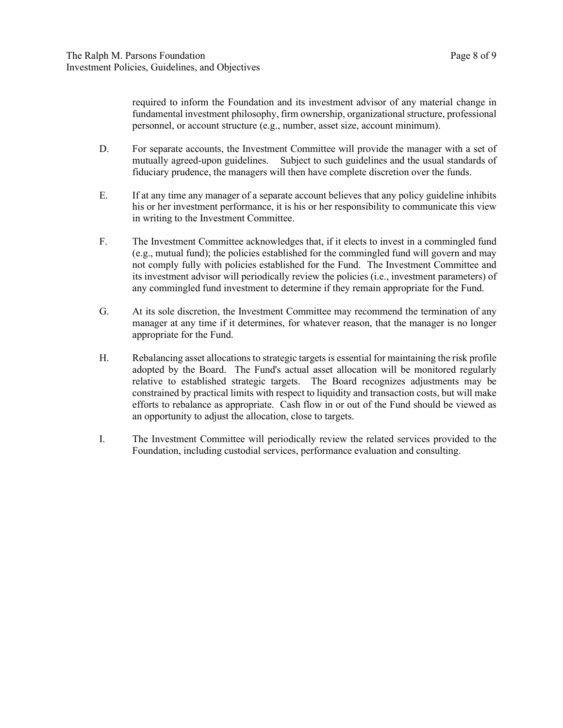required to inform the Foundation and its investment advisor of any material change in fundamental investment philosophy, firm ownership, organizational structure, professional personnel, or account structure (e.g., number, asset size, account minimum).

- D. For separate accounts, the Investment Committee will provide the manager with a set of mutually agreed-upon guidelines. Subject to such guidelines and the usual standards of fiduciary prudence, the managers will then have complete discretion over the funds.
- E. If at any time any manager of a separate account believes that any policy guideline inhibits his or her investment performance, it is his or her responsibility to communicate this view in writing to the Investment Committee.
- F. The Investment Committee acknowledges that, if it elects to invest in a commingled fund (e.g., mutual fund); the policies established for the commingled fund will govern and may not comply fully with policies established for the Fund. The Investment Committee and its investment advisor will periodically review the policies (i.e., investment parameters) of any commingled fund investment to determine if they remain appropriate for the Fund.
- G. At its sole discretion, the Investment Committee may recommend the termination of any manager at any time if it determines, for whatever reason, that the manager is no longer appropriate for the Fund.
- H. Rebalancing asset allocations to strategic targets is essential for maintaining the risk profile adopted by the Board. The Fund's actual asset allocation will be monitored regularly relative to established strategic targets. The Board recognizes adjustments may be constrained by practical limits with respect to liquidity and transaction costs, but will make efforts to rebalance as appropriate. Cash flow in or out of the Fund should be viewed as an opportunity to adjust the allocation, close to targets.
- I. The Investment Committee will periodically review the related services provided to the Foundation, including custodial services, performance evaluation and consulting.